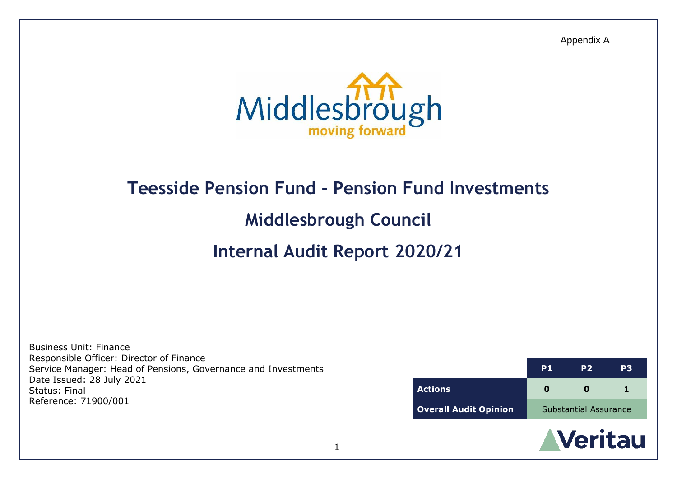Appendix A



# **Teesside Pension Fund - Pension Fund Investments**

# **Middlesbrough Council**

# **Internal Audit Report 2020/21**

Business Unit: Finance Responsible Officer: Director of Finance Service Manager: Head of Pensions, Governance and Investments Date Issued: 28 July 2021 Status: Final Reference: 71900/001

|                              | P <sub>1</sub>               | P <sub>2</sub> | P3 |
|------------------------------|------------------------------|----------------|----|
| <b>Actions</b>               |                              |                |    |
| <b>Overall Audit Opinion</b> | <b>Substantial Assurance</b> |                |    |

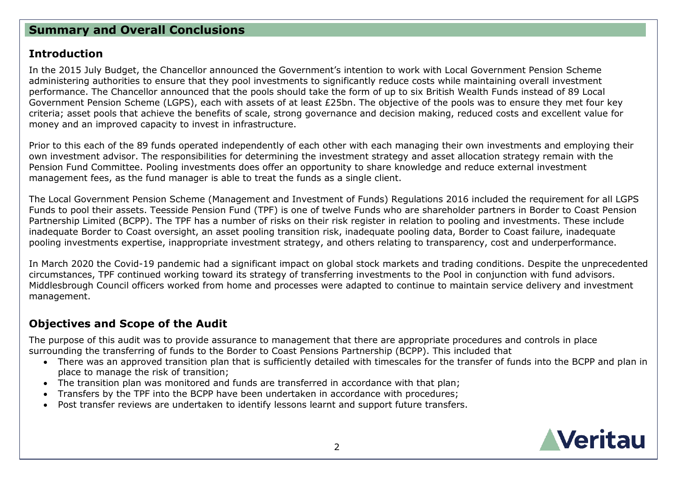## **Summary and Overall Conclusions**

### **Introduction**

In the 2015 July Budget, the Chancellor announced the Government's intention to work with Local Government Pension Scheme administering authorities to ensure that they pool investments to significantly reduce costs while maintaining overall investment performance. The Chancellor announced that the pools should take the form of up to six British Wealth Funds instead of 89 Local Government Pension Scheme (LGPS), each with assets of at least £25bn. The objective of the pools was to ensure they met four key criteria; asset pools that achieve the benefits of scale, strong governance and decision making, reduced costs and excellent value for money and an improved capacity to invest in infrastructure.

Prior to this each of the 89 funds operated independently of each other with each managing their own investments and employing their own investment advisor. The responsibilities for determining the investment strategy and asset allocation strategy remain with the Pension Fund Committee. Pooling investments does offer an opportunity to share knowledge and reduce external investment management fees, as the fund manager is able to treat the funds as a single client.

The Local Government Pension Scheme (Management and Investment of Funds) Regulations 2016 included the requirement for all LGPS Funds to pool their assets. Teesside Pension Fund (TPF) is one of twelve Funds who are shareholder partners in Border to Coast Pension Partnership Limited (BCPP). The TPF has a number of risks on their risk register in relation to pooling and investments. These include inadequate Border to Coast oversight, an asset pooling transition risk, inadequate pooling data, Border to Coast failure, inadequate pooling investments expertise, inappropriate investment strategy, and others relating to transparency, cost and underperformance.

In March 2020 the Covid-19 pandemic had a significant impact on global stock markets and trading conditions. Despite the unprecedented circumstances, TPF continued working toward its strategy of transferring investments to the Pool in conjunction with fund advisors. Middlesbrough Council officers worked from home and processes were adapted to continue to maintain service delivery and investment management.

# **Objectives and Scope of the Audit**

The purpose of this audit was to provide assurance to management that there are appropriate procedures and controls in place surrounding the transferring of funds to the Border to Coast Pensions Partnership (BCPP). This included that

- There was an approved transition plan that is sufficiently detailed with timescales for the transfer of funds into the BCPP and plan in place to manage the risk of transition;
- The transition plan was monitored and funds are transferred in accordance with that plan;
- Transfers by the TPF into the BCPP have been undertaken in accordance with procedures;
- Post transfer reviews are undertaken to identify lessons learnt and support future transfers.

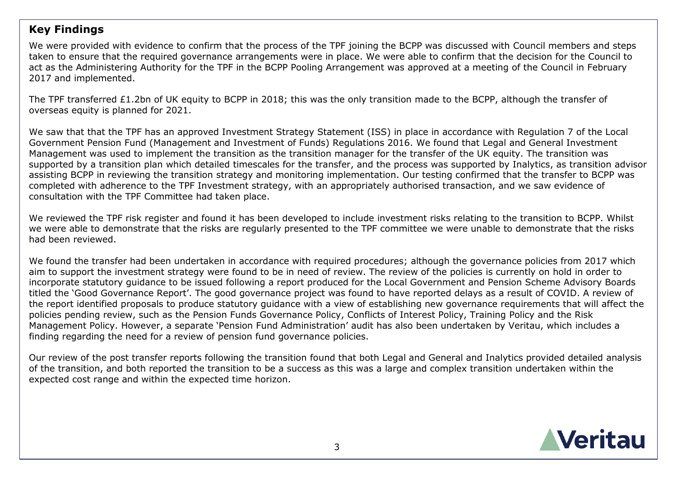## **Key Findings**

We were provided with evidence to confirm that the process of the TPF joining the BCPP was discussed with Council members and steps taken to ensure that the required governance arrangements were in place. We were able to confirm that the decision for the Council to act as the Administering Authority for the TPF in the BCPP Pooling Arrangement was approved at a meeting of the Council in February 2017 and implemented.

The TPF transferred £1.2bn of UK equity to BCPP in 2018; this was the only transition made to the BCPP, although the transfer of overseas equity is planned for 2021.

We saw that that the TPF has an approved Investment Strategy Statement (ISS) in place in accordance with Regulation 7 of the Local Government Pension Fund (Management and Investment of Funds) Regulations 2016. We found that Legal and General Investment Management was used to implement the transition as the transition manager for the transfer of the UK equity. The transition was supported by a transition plan which detailed timescales for the transfer, and the process was supported by Inalytics, as transition advisor assisting BCPP in reviewing the transition strategy and monitoring implementation. Our testing confirmed that the transfer to BCPP was completed with adherence to the TPF Investment strategy, with an appropriately authorised transaction, and we saw evidence of consultation with the TPF Committee had taken place.

We reviewed the TPF risk register and found it has been developed to include investment risks relating to the transition to BCPP. Whilst we were able to demonstrate that the risks are regularly presented to the TPF committee we were unable to demonstrate that the risks had been reviewed.

We found the transfer had been undertaken in accordance with required procedures; although the governance policies from 2017 which aim to support the investment strategy were found to be in need of review. The review of the policies is currently on hold in order to incorporate statutory guidance to be issued following a report produced for the Local Government and Pension Scheme Advisory Boards titled the 'Good Governance Report'. The good governance project was found to have reported delays as a result of COVID. A review of the report identified proposals to produce statutory guidance with a view of establishing new governance requirements that will affect the policies pending review, such as the Pension Funds Governance Policy, Conflicts of Interest Policy, Training Policy and the Risk Management Policy. However, a separate 'Pension Fund Administration' audit has also been undertaken by Veritau, which includes a finding regarding the need for a review of pension fund governance policies.

Our review of the post transfer reports following the transition found that both Legal and General and Inalytics provided detailed analysis of the transition, and both reported the transition to be a success as this was a large and complex transition undertaken within the expected cost range and within the expected time horizon.

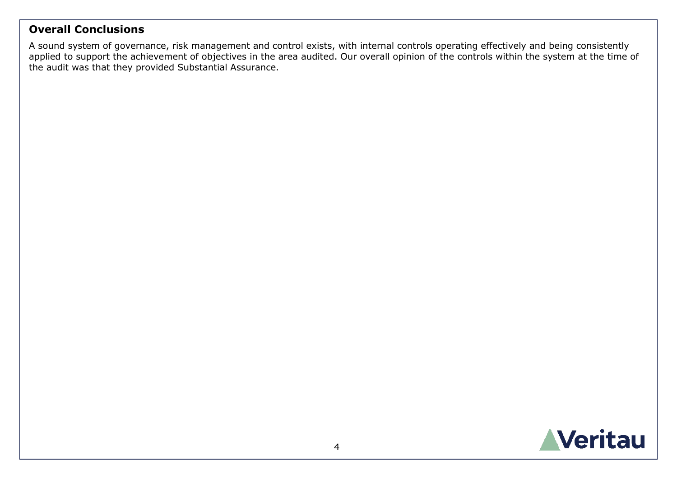## **Overall Conclusions**

A sound system of governance, risk management and control exists, with internal controls operating effectively and being consistently applied to support the achievement of objectives in the area audited. Our overall opinion of the controls within the system at the time of the audit was that they provided Substantial Assurance.

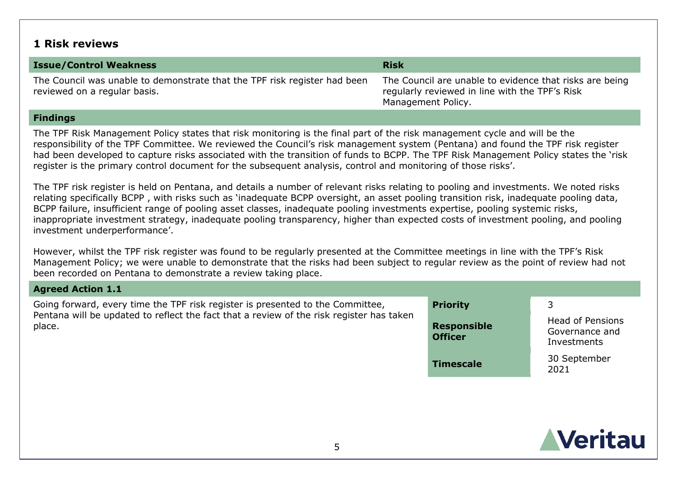### **1 Risk reviews**

| <b>Issue/Control Weakness</b>                                                                             | <b>Risk</b>                                                                                                                     |
|-----------------------------------------------------------------------------------------------------------|---------------------------------------------------------------------------------------------------------------------------------|
| The Council was unable to demonstrate that the TPF risk register had been<br>reviewed on a regular basis. | The Council are unable to evidence that risks are being<br>regularly reviewed in line with the TPF's Risk<br>Management Policy. |

#### **Findings**

The TPF Risk Management Policy states that risk monitoring is the final part of the risk management cycle and will be the responsibility of the TPF Committee. We reviewed the Council's risk management system (Pentana) and found the TPF risk register had been developed to capture risks associated with the transition of funds to BCPP. The TPF Risk Management Policy states the 'risk register is the primary control document for the subsequent analysis, control and monitoring of those risks'.

The TPF risk register is held on Pentana, and details a number of relevant risks relating to pooling and investments. We noted risks relating specifically BCPP , with risks such as 'inadequate BCPP oversight, an asset pooling transition risk, inadequate pooling data, BCPP failure, insufficient range of pooling asset classes, inadequate pooling investments expertise, pooling systemic risks, inappropriate investment strategy, inadequate pooling transparency, higher than expected costs of investment pooling, and pooling investment underperformance'.

However, whilst the TPF risk register was found to be regularly presented at the Committee meetings in line with the TPF's Risk Management Policy; we were unable to demonstrate that the risks had been subject to regular review as the point of review had not been recorded on Pentana to demonstrate a review taking place.

### **Agreed Action 1.1**

Going forward, every time the TPF risk register is presented to the Committee, Pentana will be updated to reflect the fact that a review of the risk register has taken place.

| <b>Priority</b>                      | 3                                                        |
|--------------------------------------|----------------------------------------------------------|
| <b>Responsible</b><br><b>Officer</b> | <b>Head of Pensions</b><br>Governance and<br>Investments |
| <b>Timescale</b>                     | 30 September<br>2021                                     |

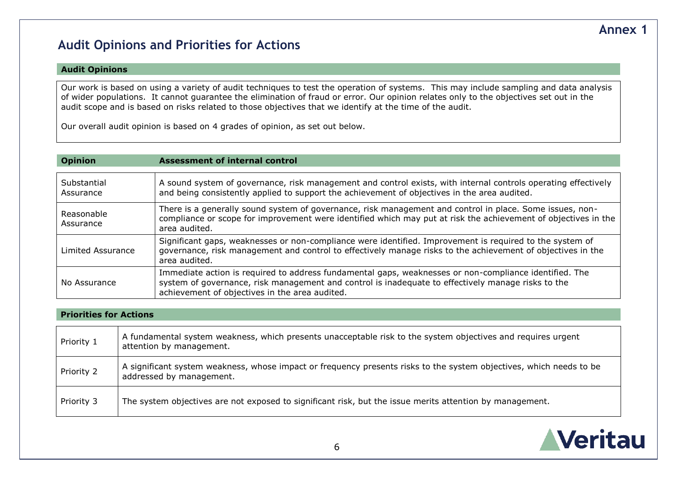# **Audit Opinions and Priorities for Actions**

#### **Audit Opinions**

Our work is based on using a variety of audit techniques to test the operation of systems. This may include sampling and data analysis of wider populations. It cannot guarantee the elimination of fraud or error. Our opinion relates only to the objectives set out in the audit scope and is based on risks related to those objectives that we identify at the time of the audit.

Our overall audit opinion is based on 4 grades of opinion, as set out below.

#### **Opinion Assessment of internal control**

| Substantial<br>Assurance | A sound system of governance, risk management and control exists, with internal controls operating effectively<br>and being consistently applied to support the achievement of objectives in the area audited.                                                 |
|--------------------------|----------------------------------------------------------------------------------------------------------------------------------------------------------------------------------------------------------------------------------------------------------------|
| Reasonable<br>Assurance  | There is a generally sound system of governance, risk management and control in place. Some issues, non-<br>compliance or scope for improvement were identified which may put at risk the achievement of objectives in the<br>area audited.                    |
| Limited Assurance        | Significant gaps, weaknesses or non-compliance were identified. Improvement is required to the system of<br>governance, risk management and control to effectively manage risks to the achievement of objectives in the<br>area audited.                       |
| No Assurance             | Immediate action is required to address fundamental gaps, weaknesses or non-compliance identified. The<br>system of governance, risk management and control is inadequate to effectively manage risks to the<br>achievement of objectives in the area audited. |

#### **Priorities for Actions**

| Priority 1 | A fundamental system weakness, which presents unacceptable risk to the system objectives and requires urgent<br>attention by management.        |
|------------|-------------------------------------------------------------------------------------------------------------------------------------------------|
| Priority 2 | A significant system weakness, whose impact or frequency presents risks to the system objectives, which needs to be<br>addressed by management. |
| Priority 3 | The system objectives are not exposed to significant risk, but the issue merits attention by management.                                        |



## **Annex 1**